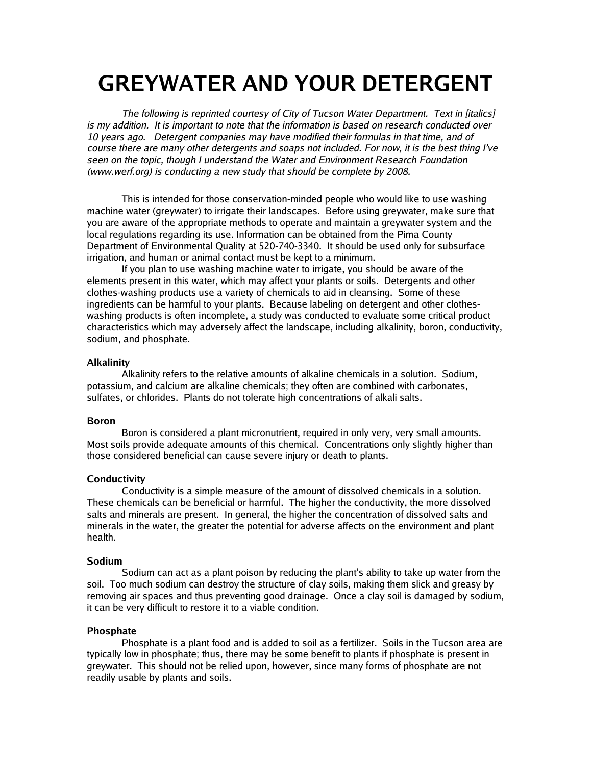# **GREYWATER AND YOUR DETERGENT**

The following is reprinted courtesy of City of Tucson Water Department. Text in [italics] is my addition. It is important to note that the information is based on research conducted over 10 years ago. Detergent companies may have modified their formulas in that time, and of course there are many other detergents and soaps not included. For now, it is the best thing I've seen on the topic, though I understand the Water and Environment Research Foundation (www.werf.org) is conducting a new study that should be complete by 2008.

This is intended for those conservation-minded people who would like to use washing machine water (greywater) to irrigate their landscapes. Before using greywater, make sure that you are aware of the appropriate methods to operate and maintain a greywater system and the local regulations regarding its use. Information can be obtained from the Pima County Department of Environmental Quality at 520-740-3340. It should be used only for subsurface irrigation, and human or animal contact must be kept to a minimum.

If you plan to use washing machine water to irrigate, you should be aware of the elements present in this water, which may affect your plants or soils. Detergents and other clothes-washing products use a variety of chemicals to aid in cleansing. Some of these ingredients can be harmful to your plants. Because labeling on detergent and other clotheswashing products is often incomplete, a study was conducted to evaluate some critical product characteristics which may adversely affect the landscape, including alkalinity, boron, conductivity, sodium, and phosphate.

#### **Alkalinity**

Alkalinity refers to the relative amounts of alkaline chemicals in a solution. Sodium, potassium, and calcium are alkaline chemicals; they often are combined with carbonates, sulfates, or chlorides. Plants do not tolerate high concentrations of alkali salts.

#### **Boron**

Boron is considered a plant micronutrient, required in only very, very small amounts. Most soils provide adequate amounts of this chemical. Concentrations only slightly higher than those considered beneficial can cause severe injury or death to plants.

## **Conductivity**

Conductivity is a simple measure of the amount of dissolved chemicals in a solution. These chemicals can be beneficial or harmful. The higher the conductivity, the more dissolved salts and minerals are present. In general, the higher the concentration of dissolved salts and minerals in the water, the greater the potential for adverse affects on the environment and plant health.

## **Sodium**

Sodium can act as a plant poison by reducing the plant's ability to take up water from the soil. Too much sodium can destroy the structure of clay soils, making them slick and greasy by removing air spaces and thus preventing good drainage. Once a clay soil is damaged by sodium, it can be very difficult to restore it to a viable condition.

## **Phosphate**

Phosphate is a plant food and is added to soil as a fertilizer. Soils in the Tucson area are typically low in phosphate; thus, there may be some benefit to plants if phosphate is present in greywater. This should not be relied upon, however, since many forms of phosphate are not readily usable by plants and soils.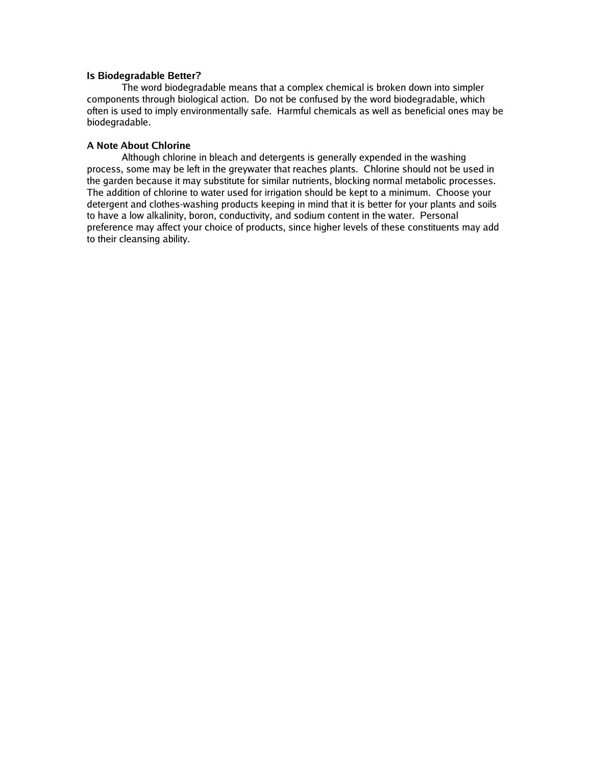#### **Is Biodegradable Better?**

The word biodegradable means that a complex chemical is broken down into simpler components through biological action. Do not be confused by the word biodegradable, which often is used to imply environmentally safe. Harmful chemicals as well as beneficial ones may be biodegradable.

## **A Note About Chlorine**

Although chlorine in bleach and detergents is generally expended in the washing process, some may be left in the greywater that reaches plants. Chlorine should not be used in the garden because it may substitute for similar nutrients, blocking normal metabolic processes. The addition of chlorine to water used for irrigation should be kept to a minimum. Choose your detergent and clothes-washing products keeping in mind that it is better for your plants and soils to have a low alkalinity, boron, conductivity, and sodium content in the water. Personal preference may affect your choice of products, since higher levels of these constituents may add to their cleansing ability.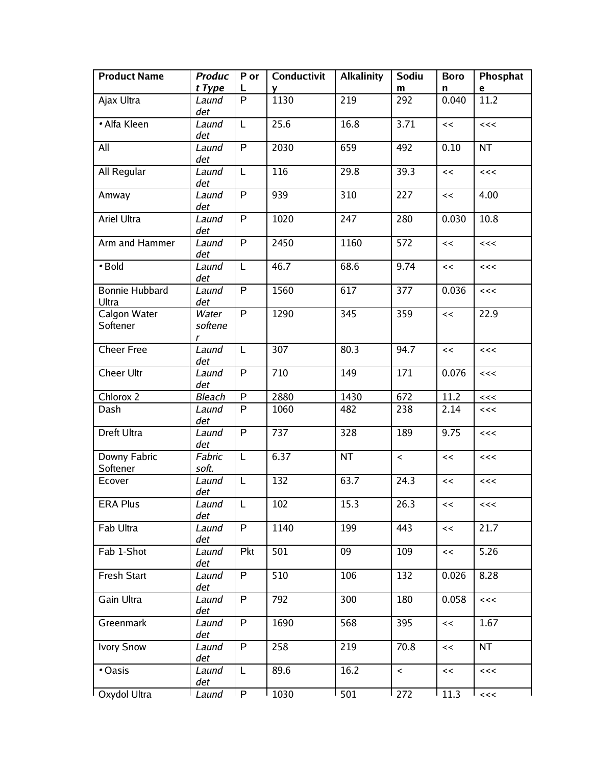| <b>Product Name</b>            | <b>Produc</b><br>t Type | P or<br>$\mathbf{L}$ | Conductivit<br><b>V</b> | <b>Alkalinity</b> | Sodiu<br>m         | <b>Boro</b><br>n | Phosphat<br>e |
|--------------------------------|-------------------------|----------------------|-------------------------|-------------------|--------------------|------------------|---------------|
| Ajax Ultra                     | Laund<br>det            | P                    | 1130                    | 219               | 292                | 0.040            | 11.2          |
| • Alfa Kleen                   | Laund<br>det            | L                    | 25.6                    | 16.8              | 3.71               | <<               | <<            |
| All                            | Laund<br>det            | P                    | 2030                    | 659               | 492                | 0.10             | <b>NT</b>     |
| All Regular                    | Laund<br>det            | L                    | 116                     | 29.8              | 39.3               | <<               | <<            |
| Amway                          | Laund<br>det            | P                    | 939                     | 310               | 227                | <<               | 4.00          |
| Ariel Ultra                    | Laund<br>det            | P                    | 1020                    | 247               | 280                | 0.030            | 10.8          |
| Arm and Hammer                 | Laund<br>det            | $\overline{P}$       | 2450                    | 1160              | 572                | <<               | <<            |
| • Bold                         | Laund<br>det            | L                    | 46.7                    | 68.6              | 9.74               | <<               | <<            |
| <b>Bonnie Hubbard</b><br>Ultra | Laund<br>det            | $\mathsf{P}$         | 1560                    | 617               | 377                | 0.036            | <<            |
| Calgon Water<br>Softener       | Water<br>softene<br>r   | P                    | 1290                    | 345               | 359                | $\,<$            | 22.9          |
| <b>Cheer Free</b>              | Laund<br>det            | L                    | 307                     | 80.3              | 94.7               | <<               | <<            |
| <b>Cheer Ultr</b>              | Laund<br>det            | $\mathsf{P}$         | 710                     | 149               | 171                | 0.076            | <<            |
| Chlorox 2                      | <b>Bleach</b>           | P                    | 2880                    | 1430              | 672                | 11.2             | <<            |
| Dash                           | Laund<br>det            | P                    | 1060                    | 482               | 238                | 2.14             | <<            |
| Dreft Ultra                    | Laund<br>det            | $\mathsf{P}$         | 737                     | 328               | 189                | 9.75             | <<            |
| Downy Fabric<br>Softener       | Fabric<br>soft.         | L                    | 6.37                    | NT                | $\prec$            | <<               | <<            |
| Ecover                         | Laund<br>det            | L                    | 132                     | 63.7              | $\overline{2}$ 4.3 | <<               | <<            |
| <b>ERA Plus</b>                | Laund<br>det            | $\overline{L}$       | $\overline{102}$        | 15.3              | 26.3               | <<               | <<<           |
| Fab Ultra                      | Laund<br>det            | P                    | 1140                    | 199               | 443                | <<               | 21.7          |
| Fab 1-Shot                     | Laund<br>det            | Pkt                  | 501                     | 09                | 109                | <<               | 5.26          |
| <b>Fresh Start</b>             | Laund<br>det            | P                    | 510                     | 106               | 132                | 0.026            | 8.28          |
| Gain Ultra                     | Laund<br>det            | P                    | 792                     | 300               | 180                | 0.058            | <<            |
| Greenmark                      | Laund<br>det            | P                    | 1690                    | 568               | 395                | <<               | 1.67          |
| <b>Ivory Snow</b>              | Laund<br>det            | P                    | 258                     | 219               | 70.8               | <<               | <b>NT</b>     |
| • Oasis                        | Laund<br>det            | L                    | 89.6                    | 16.2              | $\prec$            | <<               | <<            |
| Oxydol Ultra                   | Laund                   | P                    | 1030                    | 501               | 272                | 11.3             | <<            |